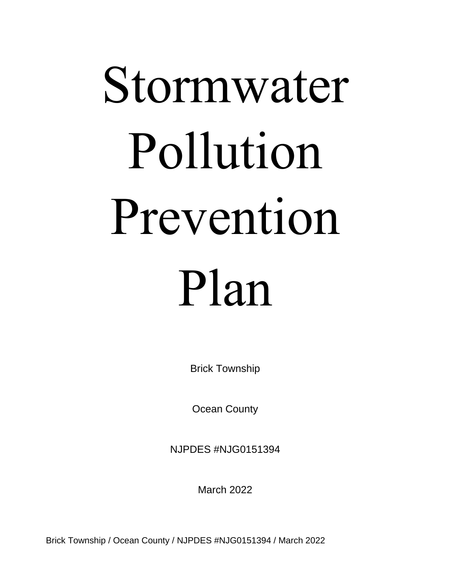# Stormwater Pollution Prevention Plan

Brick Township

Ocean County

NJPDES #NJG0151394

March 2022

Brick Township / Ocean County / NJPDES #NJG0151394 / March 2022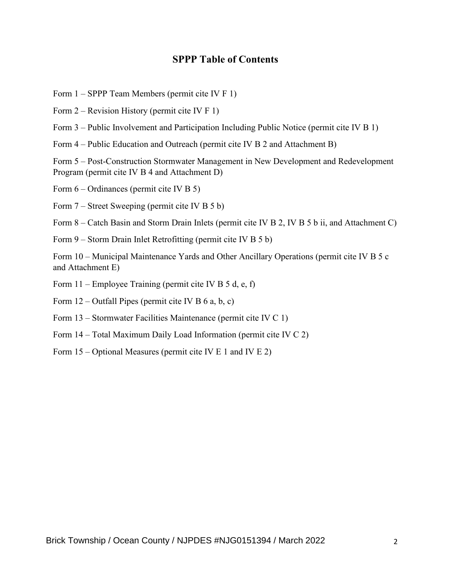#### **SPPP Table of Contents**

- Form 1 SPPP Team Members (permit cite IV F 1)
- Form 2 Revision History (permit cite IV F 1)
- Form 3 Public Involvement and Participation Including Public Notice (permit cite IV B 1)
- Form 4 Public Education and Outreach (permit cite IV B 2 and Attachment B)

Form 5 – Post-Construction Stormwater Management in New Development and Redevelopment Program (permit cite IV B 4 and Attachment D)

Form 6 – Ordinances (permit cite IV B 5)

Form 7 – Street Sweeping (permit cite IV B 5 b)

Form 8 – Catch Basin and Storm Drain Inlets (permit cite IV B 2, IV B 5 b ii, and Attachment C)

Form 9 – Storm Drain Inlet Retrofitting (permit cite IV B 5 b)

Form 10 – Municipal Maintenance Yards and Other Ancillary Operations (permit cite IV B 5 c and Attachment E)

- Form 11 Employee Training (permit cite IV B 5 d, e, f)
- Form  $12$  Outfall Pipes (permit cite IV B 6 a, b, c)
- Form 13 Stormwater Facilities Maintenance (permit cite IV C 1)
- Form 14 Total Maximum Daily Load Information (permit cite IV C 2)
- Form 15 Optional Measures (permit cite IV E 1 and IV E 2)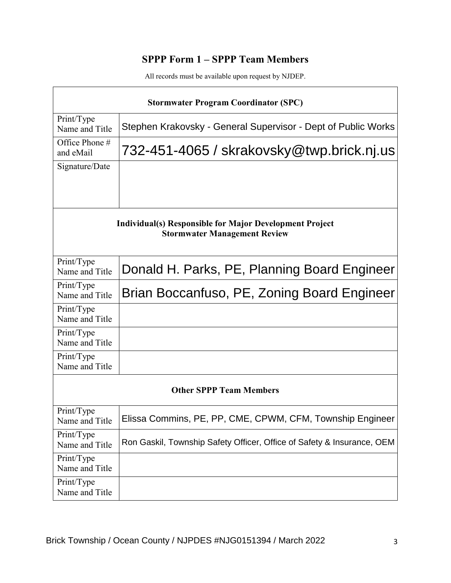# **SPPP Form 1 – SPPP Team Members**

| <b>Stormwater Program Coordinator (SPC)</b>                                                    |                                                                        |  |  |
|------------------------------------------------------------------------------------------------|------------------------------------------------------------------------|--|--|
| Print/Type<br>Name and Title                                                                   | Stephen Krakovsky - General Supervisor - Dept of Public Works          |  |  |
| Office Phone #<br>and eMail                                                                    | 732-451-4065 / skrakovsky@twp.brick.nj.us                              |  |  |
| Signature/Date                                                                                 |                                                                        |  |  |
|                                                                                                |                                                                        |  |  |
| Individual(s) Responsible for Major Development Project<br><b>Stormwater Management Review</b> |                                                                        |  |  |
| Print/Type<br>Name and Title                                                                   | Donald H. Parks, PE, Planning Board Engineer                           |  |  |
| Print/Type<br>Name and Title                                                                   | Brian Boccanfuso, PE, Zoning Board Engineer                            |  |  |
| Print/Type<br>Name and Title                                                                   |                                                                        |  |  |
| Print/Type<br>Name and Title                                                                   |                                                                        |  |  |
| Print/Type<br>Name and Title                                                                   |                                                                        |  |  |
| <b>Other SPPP Team Members</b>                                                                 |                                                                        |  |  |
| Print/Type<br>Name and Title                                                                   | Elissa Commins, PE, PP, CME, CPWM, CFM, Township Engineer              |  |  |
| Print/Type<br>Name and Title                                                                   | Ron Gaskil, Township Safety Officer, Office of Safety & Insurance, OEM |  |  |
| Print/Type<br>Name and Title                                                                   |                                                                        |  |  |
| Print/Type<br>Name and Title                                                                   |                                                                        |  |  |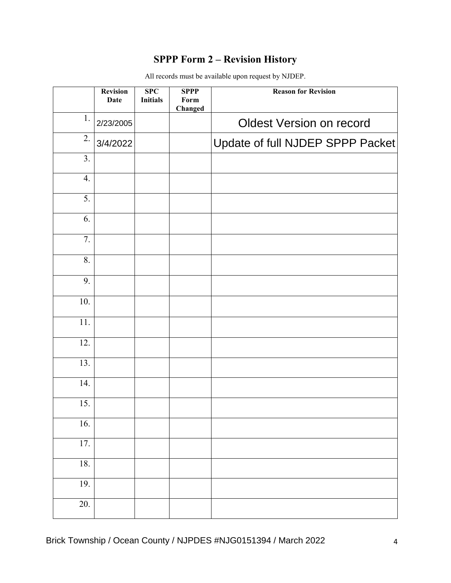# **SPPP Form 2 – Revision History**

|                   | <b>Revision</b><br><b>Date</b> | $\overline{\text{SPC}}$<br><b>Initials</b> | <b>SPPP</b><br>Form<br>Changed | <b>Reason for Revision</b>       |
|-------------------|--------------------------------|--------------------------------------------|--------------------------------|----------------------------------|
| 1.                | 2/23/2005                      |                                            |                                | <b>Oldest Version on record</b>  |
| 2.                | 3/4/2022                       |                                            |                                | Update of full NJDEP SPPP Packet |
| $\overline{3}$ .  |                                |                                            |                                |                                  |
| 4.                |                                |                                            |                                |                                  |
| 5.                |                                |                                            |                                |                                  |
| 6.                |                                |                                            |                                |                                  |
| $\overline{7}$ .  |                                |                                            |                                |                                  |
| 8.                |                                |                                            |                                |                                  |
| 9.                |                                |                                            |                                |                                  |
| 10.               |                                |                                            |                                |                                  |
| 11.               |                                |                                            |                                |                                  |
| 12.               |                                |                                            |                                |                                  |
| 13.               |                                |                                            |                                |                                  |
| $\overline{14}$ . |                                |                                            |                                |                                  |
| 15.               |                                |                                            |                                |                                  |
| 16.               |                                |                                            |                                |                                  |
| 17.               |                                |                                            |                                |                                  |
| 18.               |                                |                                            |                                |                                  |
| 19.               |                                |                                            |                                |                                  |
| $\overline{20}$ . |                                |                                            |                                |                                  |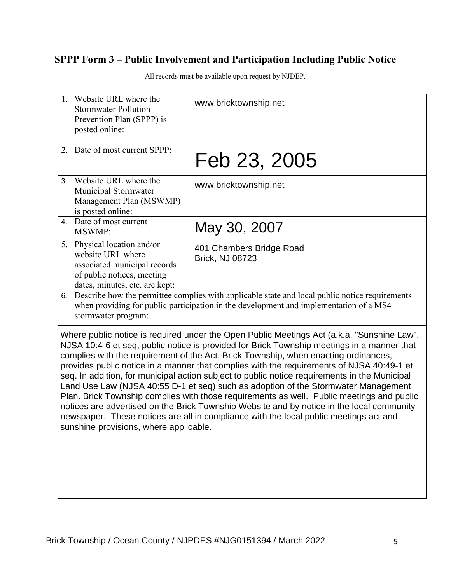# **SPPP Form 3 – Public Involvement and Participation Including Public Notice**

|                | 1. Website URL where the<br><b>Stormwater Pollution</b><br>Prevention Plan (SPPP) is<br>posted online:                                           | www.bricktownship.net                                                                                                                                                                                                                                                                                                                                                                                                                                                                                                                                                                                                                                                                                                                                                                                                                                  |
|----------------|--------------------------------------------------------------------------------------------------------------------------------------------------|--------------------------------------------------------------------------------------------------------------------------------------------------------------------------------------------------------------------------------------------------------------------------------------------------------------------------------------------------------------------------------------------------------------------------------------------------------------------------------------------------------------------------------------------------------------------------------------------------------------------------------------------------------------------------------------------------------------------------------------------------------------------------------------------------------------------------------------------------------|
|                | 2. Date of most current SPPP:                                                                                                                    | Feb 23, 2005                                                                                                                                                                                                                                                                                                                                                                                                                                                                                                                                                                                                                                                                                                                                                                                                                                           |
| 3 <sub>1</sub> | Website URL where the<br>Municipal Stormwater<br>Management Plan (MSWMP)<br>is posted online:                                                    | www.bricktownship.net                                                                                                                                                                                                                                                                                                                                                                                                                                                                                                                                                                                                                                                                                                                                                                                                                                  |
|                | 4. Date of most current<br>MSWMP:                                                                                                                | May 30, 2007                                                                                                                                                                                                                                                                                                                                                                                                                                                                                                                                                                                                                                                                                                                                                                                                                                           |
|                | 5. Physical location and/or<br>website URL where<br>associated municipal records<br>of public notices, meeting<br>dates, minutes, etc. are kept: | 401 Chambers Bridge Road<br><b>Brick, NJ 08723</b>                                                                                                                                                                                                                                                                                                                                                                                                                                                                                                                                                                                                                                                                                                                                                                                                     |
|                | stormwater program:                                                                                                                              | 6. Describe how the permittee complies with applicable state and local public notice requirements<br>when providing for public participation in the development and implementation of a MS4                                                                                                                                                                                                                                                                                                                                                                                                                                                                                                                                                                                                                                                            |
|                | sunshine provisions, where applicable.                                                                                                           | Where public notice is required under the Open Public Meetings Act (a.k.a. "Sunshine Law",<br>NJSA 10:4-6 et seq, public notice is provided for Brick Township meetings in a manner that<br>complies with the requirement of the Act. Brick Township, when enacting ordinances,<br>provides public notice in a manner that complies with the requirements of NJSA 40:49-1 et<br>seq. In addition, for municipal action subject to public notice requirements in the Municipal<br>Land Use Law (NJSA 40:55 D-1 et seq) such as adoption of the Stormwater Management<br>Plan. Brick Township complies with those requirements as well. Public meetings and public<br>notices are advertised on the Brick Township Website and by notice in the local community<br>newspaper. These notices are all in compliance with the local public meetings act and |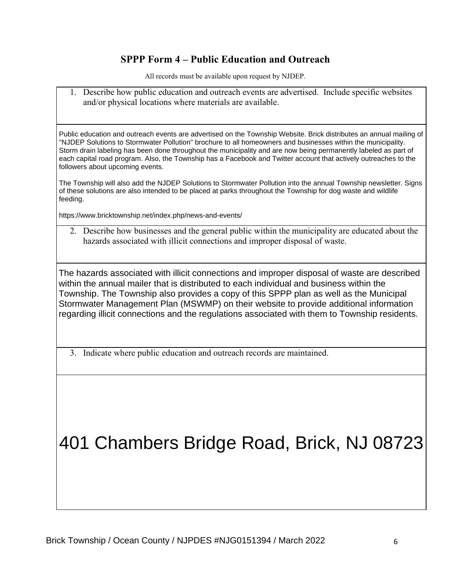#### **SPPP Form 4 – Public Education and Outreach**

All records must be available upon request by NJDEP.

1. Describe how public education and outreach events are advertised. Include specific websites and/or physical locations where materials are available.

Public education and outreach events are advertised on the Township Website. Brick distributes an annual mailing of "NJDEP Solutions to Stormwater Pollution" brochure to all homeowners and businesses within the municipality. Storm drain labeling has been done throughout the municipality and are now being permanently labeled as part of each capital road program. Also, the Township has a Facebook and Twitter account that actively outreaches to the followers about upcoming events.

The Township will also add the NJDEP Solutions to Stormwater Pollution into the annual Township newsletter. Signs of these solutions are also intended to be placed at parks throughout the Township for dog waste and wildlife feeding.

https://www.bricktownship.net/index.php/news-and-events/

2. Describe how businesses and the general public within the municipality are educated about the hazards associated with illicit connections and improper disposal of waste.

The hazards associated with illicit connections and improper disposal of waste are described within the annual mailer that is distributed to each individual and business within the Township. The Township also provides a copy of this SPPP plan as well as the Municipal Stormwater Management Plan (MSWMP) on their website to provide additional information regarding illicit connections and the regulations associated with them to Township residents.

3. Indicate where public education and outreach records are maintained.

# 401 Chambers Bridge Road, Brick, NJ 08723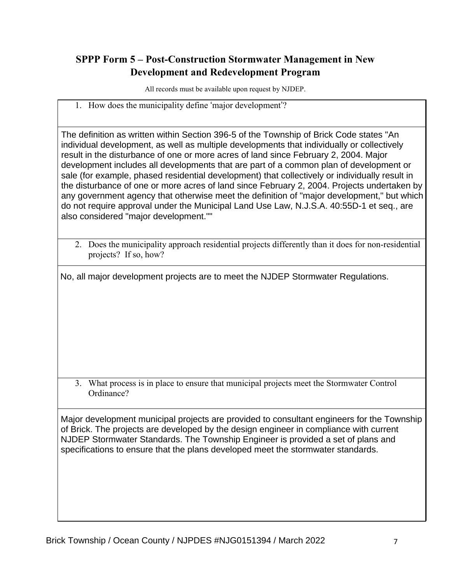## **SPPP Form 5 – Post-Construction Stormwater Management in New Development and Redevelopment Program**

All records must be available upon request by NJDEP.

1. How does the municipality define 'major development'?

The definition as written within Section 396-5 of the Township of Brick Code states "An individual development, as well as multiple developments that individually or collectively result in the disturbance of one or more acres of land since February 2, 2004. Major development includes all developments that are part of a common plan of development or sale (for example, phased residential development) that collectively or individually result in the disturbance of one or more acres of land since February 2, 2004. Projects undertaken by any government agency that otherwise meet the definition of "major development," but which do not require approval under the Municipal Land Use Law, N.J.S.A. 40:55D-1 et seq., are also considered "major development.""

2. Does the municipality approach residential projects differently than it does for non-residential projects? If so, how?

No, all major development projects are to meet the NJDEP Stormwater Regulations.

3. What process is in place to ensure that municipal projects meet the Stormwater Control Ordinance?

Major development municipal projects are provided to consultant engineers for the Township of Brick. The projects are developed by the design engineer in compliance with current NJDEP Stormwater Standards. The Township Engineer is provided a set of plans and specifications to ensure that the plans developed meet the stormwater standards.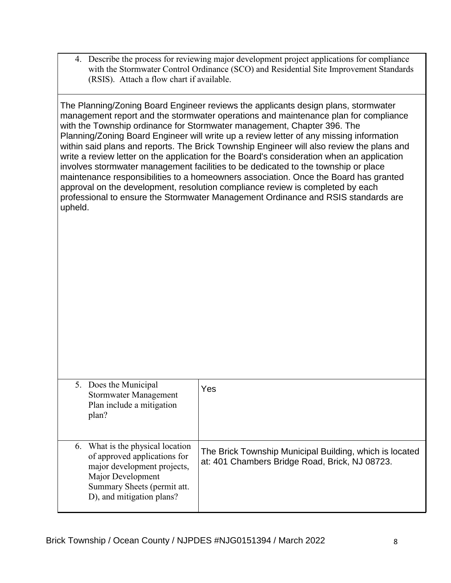4. Describe the process for reviewing major development project applications for compliance with the Stormwater Control Ordinance (SCO) and Residential Site Improvement Standards (RSIS). Attach a flow chart if available.

The Planning/Zoning Board Engineer reviews the applicants design plans, stormwater management report and the stormwater operations and maintenance plan for compliance with the Township ordinance for Stormwater management, Chapter 396. The Planning/Zoning Board Engineer will write up a review letter of any missing information within said plans and reports. The Brick Township Engineer will also review the plans and write a review letter on the application for the Board's consideration when an application involves stormwater management facilities to be dedicated to the township or place maintenance responsibilities to a homeowners association. Once the Board has granted approval on the development, resolution compliance review is completed by each professional to ensure the Stormwater Management Ordinance and RSIS standards are upheld.

| 5. Does the Municipal<br>Stormwater Management<br>Plan include a mitigation<br>plan?                                                                                             | Yes                                                                                                       |
|----------------------------------------------------------------------------------------------------------------------------------------------------------------------------------|-----------------------------------------------------------------------------------------------------------|
| 6. What is the physical location<br>of approved applications for<br>major development projects,<br>Major Development<br>Summary Sheets (permit att.<br>D), and mitigation plans? | The Brick Township Municipal Building, which is located<br>at: 401 Chambers Bridge Road, Brick, NJ 08723. |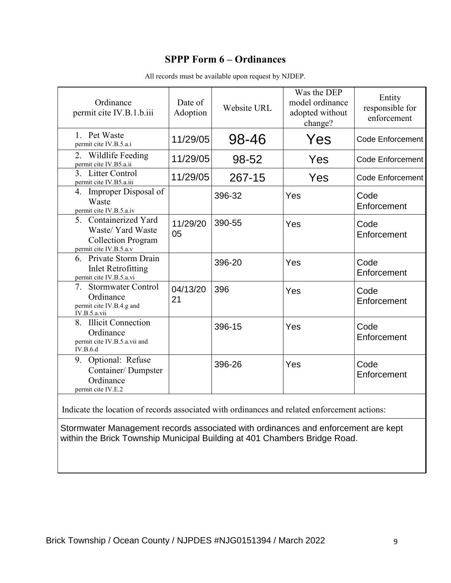#### **SPPP Form 6 – Ordinances**

| Ordinance<br>permit cite IV.B.1.b.iii                                                                                                                          | Date of<br>Adoption | Website URL | Was the DEP<br>model ordinance<br>adopted without<br>change? | Entity<br>responsible for<br>enforcement |
|----------------------------------------------------------------------------------------------------------------------------------------------------------------|---------------------|-------------|--------------------------------------------------------------|------------------------------------------|
| 1. Pet Waste<br>permit cite IV.B.5.a.i                                                                                                                         | 11/29/05            | 98-46       | Yes                                                          | <b>Code Enforcement</b>                  |
| 2. Wildlife Feeding<br>permit cite IV.B5.a.ii                                                                                                                  | 11/29/05            | 98-52       | Yes                                                          | <b>Code Enforcement</b>                  |
| 3. Litter Control<br>permit cite IV.B5.a.iii                                                                                                                   | 11/29/05            | 267-15      | Yes                                                          | <b>Code Enforcement</b>                  |
| 4. Improper Disposal of<br>Waste<br>permit cite IV.B.5.a.iv                                                                                                    |                     | 396-32      | Yes                                                          | Code<br>Enforcement                      |
| 5. Containerized Yard<br>Waste/ Yard Waste<br><b>Collection Program</b><br>permit cite IV.B.5.a.v                                                              | 11/29/20<br>05      | 390-55      | Yes                                                          | Code<br>Enforcement                      |
| 6. Private Storm Drain<br><b>Inlet Retrofitting</b><br>permit cite IV.B.5.a.vi                                                                                 |                     | 396-20      | Yes                                                          | Code<br>Enforcement                      |
| Stormwater Control<br>7.<br>Ordinance<br>permit cite IV.B.4.g and<br>IV.B.5.a.vii                                                                              | 04/13/20<br>21      | 396         | Yes                                                          | Code<br>Enforcement                      |
| 8. Illicit Connection<br>Ordinance<br>permit cite IV.B.5.a.vii and<br>IV.B.6.d                                                                                 |                     | 396-15      | Yes                                                          | Code<br>Enforcement                      |
| 9. Optional: Refuse<br>Container/Dumpster<br>Ordinance<br>permit cite IV.E.2                                                                                   |                     | 396-26      | Yes                                                          | Code<br>Enforcement                      |
| Indicate the location of records associated with ordinances and related enforcement actions:                                                                   |                     |             |                                                              |                                          |
| Stormwater Management records associated with ordinances and enforcement are kept<br>within the Brick Township Municipal Building at 401 Chambers Bridge Road. |                     |             |                                                              |                                          |

All records must be available upon request by NJDEP.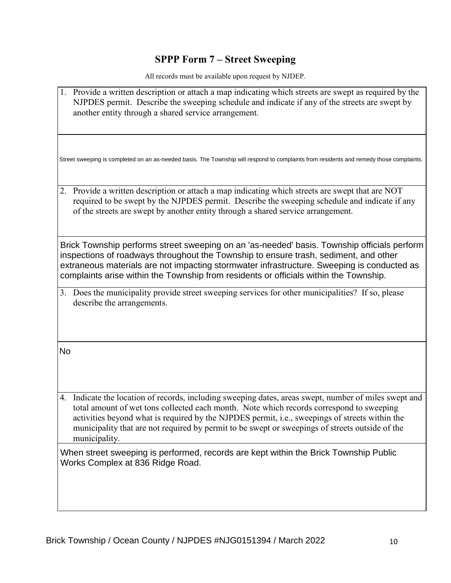#### **SPPP Form 7 – Street Sweeping**

All records must be available upon request by NJDEP.

1. Provide a written description or attach a map indicating which streets are swept as required by the NJPDES permit. Describe the sweeping schedule and indicate if any of the streets are swept by another entity through a shared service arrangement. 2. Provide a written description or attach a map indicating which streets are swept that are NOT required to be swept by the NJPDES permit. Describe the sweeping schedule and indicate if any of the streets are swept by another entity through a shared service arrangement. 3. Does the municipality provide street sweeping services for other municipalities? If so, please describe the arrangements. 4. Indicate the location of records, including sweeping dates, areas swept, number of miles swept and total amount of wet tons collected each month. Note which records correspond to sweeping activities beyond what is required by the NJPDES permit, i.e., sweepings of streets within the municipality that are not required by permit to be swept or sweepings of streets outside of the municipality. Street sweeping is completed on an as-needed basis. The Township will respond to complaints from residents and remedy those complaints. Brick Township performs street sweeping on an 'as-needed' basis. Township officials perform inspections of roadways throughout the Township to ensure trash, sediment, and other extraneous materials are not impacting stormwater infrastructure. Sweeping is conducted as complaints arise within the Township from residents or officials within the Township. No When street sweeping is performed, records are kept within the Brick Township Public Works Complex at 836 Ridge Road.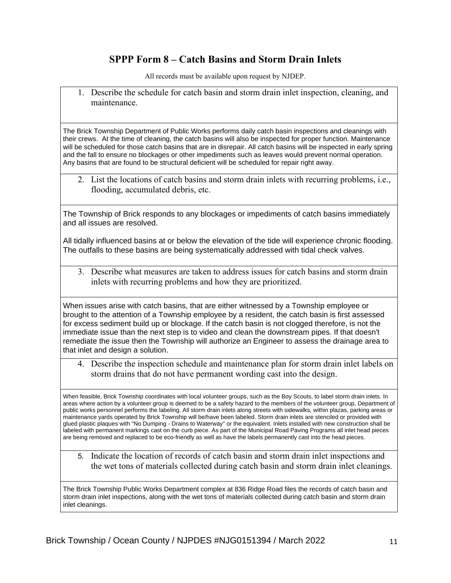#### **SPPP Form 8 – Catch Basins and Storm Drain Inlets**

All records must be available upon request by NJDEP.

1. Describe the schedule for catch basin and storm drain inlet inspection, cleaning, and maintenance.

The Brick Township Department of Public Works performs daily catch basin inspections and cleanings with their crews. At the time of cleaning, the catch basins will also be inspected for proper function. Maintenance will be scheduled for those catch basins that are in disrepair. All catch basins will be inspected in early spring and the fall to ensure no blockages or other impediments such as leaves would prevent normal operation. Any basins that are found to be structural deficient will be scheduled for repair right away.

2. List the locations of catch basins and storm drain inlets with recurring problems, i.e., flooding, accumulated debris, etc.

The Township of Brick responds to any blockages or impediments of catch basins immediately and all issues are resolved.

All tidally influenced basins at or below the elevation of the tide will experience chronic flooding. The outfalls to these basins are being systematically addressed with tidal check valves.

3. Describe what measures are taken to address issues for catch basins and storm drain inlets with recurring problems and how they are prioritized.

When issues arise with catch basins, that are either witnessed by a Township employee or brought to the attention of a Township employee by a resident, the catch basin is first assessed for excess sediment build up or blockage. If the catch basin is not clogged therefore, is not the immediate issue than the next step is to video and clean the downstream pipes. If that doesn't remediate the issue then the Township will authorize an Engineer to assess the drainage area to that inlet and design a solution.

4. Describe the inspection schedule and maintenance plan for storm drain inlet labels on storm drains that do not have permanent wording cast into the design.

When feasible, Brick Township coordinates with local volunteer groups, such as the Boy Scouts, to label storm drain inlets. In areas where action by a volunteer group is deemed to be a safety hazard to the members of the volunteer group, Department of public works personnel performs the labeling. All storm drain inlets along streets with sidewalks, within plazas, parking areas or maintenance yards operated by Brick Township will be/have been labeled. Storm drain inlets are stenciled or provided with glued plastic plaques with "No Dumping - Drains to Waterway" or the equivalent. Inlets installed with new construction shall be labeled with permanent markings cast on the curb piece. As part of the Municipal Road Paving Programs all inlet head pieces are being removed and replaced to be eco-friendly as well as have the labels permanently cast into the head pieces.

5. Indicate the location of records of catch basin and storm drain inlet inspections and the wet tons of materials collected during catch basin and storm drain inlet cleanings.

The Brick Township Public Works Department complex at 836 Ridge Road files the records of catch basin and storm drain inlet inspections, along with the wet tons of materials collected during catch basin and storm drain inlet cleanings.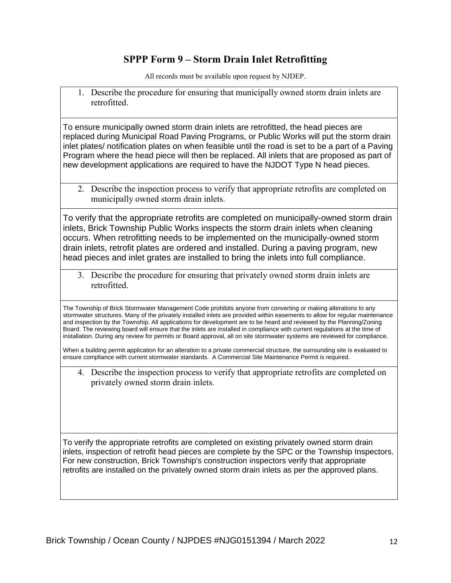#### **SPPP Form 9 – Storm Drain Inlet Retrofitting**

All records must be available upon request by NJDEP.

1. Describe the procedure for ensuring that municipally owned storm drain inlets are retrofitted.

To ensure municipally owned storm drain inlets are retrofitted, the head pieces are replaced during Municipal Road Paving Programs, or Public Works will put the storm drain inlet plates/ notification plates on when feasible until the road is set to be a part of a Paving Program where the head piece will then be replaced. All inlets that are proposed as part of new development applications are required to have the NJDOT Type N head pieces.

2. Describe the inspection process to verify that appropriate retrofits are completed on municipally owned storm drain inlets.

To verify that the appropriate retrofits are completed on municipally-owned storm drain inlets, Brick Township Public Works inspects the storm drain inlets when cleaning occurs. When retrofitting needs to be implemented on the municipally-owned storm drain inlets, retrofit plates are ordered and installed. During a paving program, new head pieces and inlet grates are installed to bring the inlets into full compliance.

3. Describe the procedure for ensuring that privately owned storm drain inlets are retrofitted.

The Township of Brick Stormwater Management Code prohibits anyone from converting or making alterations to any stormwater structures. Many of the privately installed inlets are provided within easements to allow for regular maintenance and inspection by the Township. All applications for development are to be heard and reviewed by the Planning/Zoning Board. The reviewing board will ensure that the inlets are installed in compliance with current regulations at the time of installation. During any review for permits or Board approval, all on site stormwater systems are reviewed for compliance.

When a building permit application for an alteration to a private commercial structure, the surrounding site is evaluated to ensure compliance with current stormwater standards. A Commercial Site Maintenance Permit is required.

4. Describe the inspection process to verify that appropriate retrofits are completed on privately owned storm drain inlets.

To verify the appropriate retrofits are completed on existing privately owned storm drain inlets, inspection of retrofit head pieces are complete by the SPC or the Township Inspectors. For new construction, Brick Township's construction inspectors verify that appropriate retrofits are installed on the privately owned storm drain inlets as per the approved plans.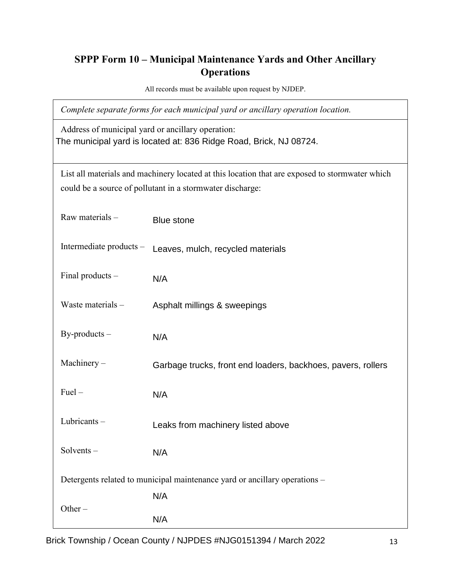# **SPPP Form 10 – Municipal Maintenance Yards and Other Ancillary Operations**

All records must be available upon request by NJDEP.

*Complete separate forms for each municipal yard or ancillary operation location.*

Address of municipal yard or ancillary operation: The municipal yard is located at: 836 Ridge Road, Brick, NJ 08724.

List all materials and machinery located at this location that are exposed to stormwater which could be a source of pollutant in a stormwater discharge:

| Raw materials -         | <b>Blue stone</b>                                                          |    |
|-------------------------|----------------------------------------------------------------------------|----|
| Intermediate products - | Leaves, mulch, recycled materials                                          |    |
| Final products -        | N/A                                                                        |    |
| Waste materials -       | Asphalt millings & sweepings                                               |    |
| $By$ -products $-$      | N/A                                                                        |    |
| Machinery-              | Garbage trucks, front end loaders, backhoes, pavers, rollers               |    |
| $Fuel -$                | N/A                                                                        |    |
| Lubricants-             | Leaks from machinery listed above                                          |    |
| Solvents-               | N/A                                                                        |    |
|                         | Detergents related to municipal maintenance yard or ancillary operations - |    |
|                         | N/A                                                                        |    |
| Other $-$               | N/A                                                                        |    |
|                         | Brick Township / Ocean County / NJPDES #NJG0151394 / March 2022            | 13 |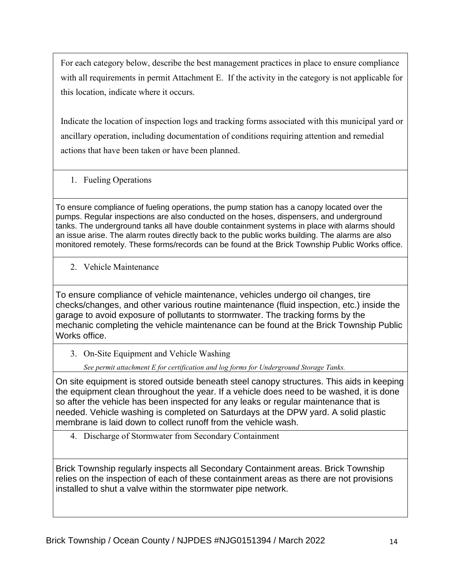For each category below, describe the best management practices in place to ensure compliance with all requirements in permit Attachment E. If the activity in the category is not applicable for this location, indicate where it occurs.

Indicate the location of inspection logs and tracking forms associated with this municipal yard or ancillary operation, including documentation of conditions requiring attention and remedial actions that have been taken or have been planned.

1. Fueling Operations

To ensure compliance of fueling operations, the pump station has a canopy located over the pumps. Regular inspections are also conducted on the hoses, dispensers, and underground tanks. The underground tanks all have double containment systems in place with alarms should an issue arise. The alarm routes directly back to the public works building. The alarms are also monitored remotely. These forms/records can be found at the Brick Township Public Works office.

2. Vehicle Maintenance

To ensure compliance of vehicle maintenance, vehicles undergo oil changes, tire checks/changes, and other various routine maintenance (fluid inspection, etc.) inside the garage to avoid exposure of pollutants to stormwater. The tracking forms by the mechanic completing the vehicle maintenance can be found at the Brick Township Public Works office.

3. On-Site Equipment and Vehicle Washing

*See permit attachment E for certification and log forms for Underground Storage Tanks.*

On site equipment is stored outside beneath steel canopy structures. This aids in keeping the equipment clean throughout the year. If a vehicle does need to be washed, it is done so after the vehicle has been inspected for any leaks or regular maintenance that is needed. Vehicle washing is completed on Saturdays at the DPW yard. A solid plastic membrane is laid down to collect runoff from the vehicle wash.

4. Discharge of Stormwater from Secondary Containment

Brick Township regularly inspects all Secondary Containment areas. Brick Township relies on the inspection of each of these containment areas as there are not provisions installed to shut a valve within the stormwater pipe network.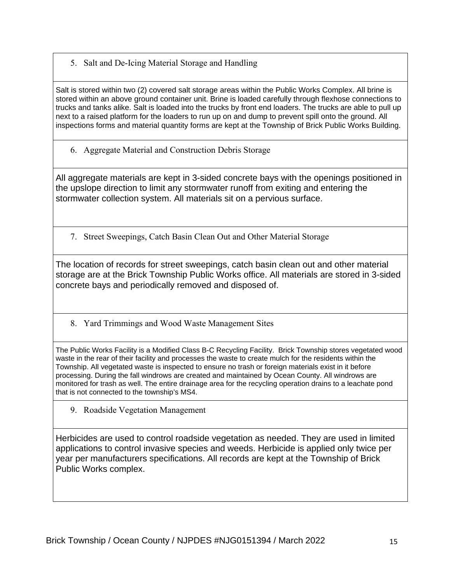5. Salt and De-Icing Material Storage and Handling

Salt is stored within two (2) covered salt storage areas within the Public Works Complex. All brine is stored within an above ground container unit. Brine is loaded carefully through flexhose connections to trucks and tanks alike. Salt is loaded into the trucks by front end loaders. The trucks are able to pull up next to a raised platform for the loaders to run up on and dump to prevent spill onto the ground. All inspections forms and material quantity forms are kept at the Township of Brick Public Works Building.

6. Aggregate Material and Construction Debris Storage

All aggregate materials are kept in 3-sided concrete bays with the openings positioned in the upslope direction to limit any stormwater runoff from exiting and entering the stormwater collection system. All materials sit on a pervious surface.

7. Street Sweepings, Catch Basin Clean Out and Other Material Storage

The location of records for street sweepings, catch basin clean out and other material storage are at the Brick Township Public Works office. All materials are stored in 3-sided concrete bays and periodically removed and disposed of.

8. Yard Trimmings and Wood Waste Management Sites

The Public Works Facility is a Modified Class B-C Recycling Facility. Brick Township stores vegetated wood waste in the rear of their facility and processes the waste to create mulch for the residents within the Township. All vegetated waste is inspected to ensure no trash or foreign materials exist in it before processing. During the fall windrows are created and maintained by Ocean County. All windrows are monitored for trash as well. The entire drainage area for the recycling operation drains to a leachate pond that is not connected to the township's MS4.

9. Roadside Vegetation Management

Herbicides are used to control roadside vegetation as needed. They are used in limited applications to control invasive species and weeds. Herbicide is applied only twice per year per manufacturers specifications. All records are kept at the Township of Brick Public Works complex.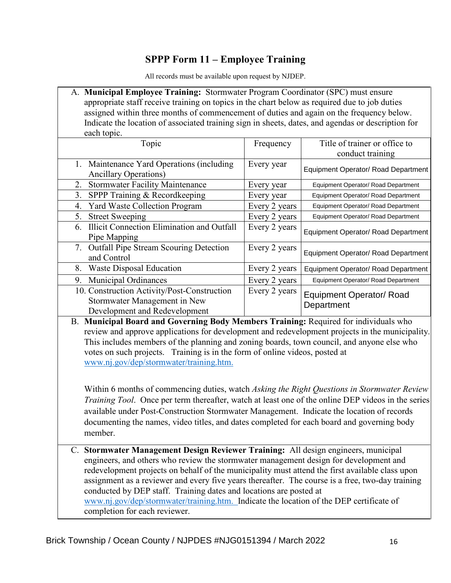#### **SPPP Form 11 – Employee Training**

All records must be available upon request by NJDEP.

| A. Municipal Employee Training: Stormwater Program Coordinator (SPC) must ensure                   |
|----------------------------------------------------------------------------------------------------|
| appropriate staff receive training on topics in the chart below as required due to job duties      |
| assigned within three months of commencement of duties and again on the frequency below.           |
| Indicate the location of associated training sign in sheets, dates, and agendas or description for |
| each topic.                                                                                        |

| Topic                                                   | Frequency     | Title of trainer or office to       |
|---------------------------------------------------------|---------------|-------------------------------------|
|                                                         |               | conduct training                    |
| 1. Maintenance Yard Operations (including)              | Every year    | Equipment Operator/ Road Department |
| <b>Ancillary Operations</b> )                           |               |                                     |
| <b>Stormwater Facility Maintenance</b><br>2.            | Every year    | Equipment Operator/ Road Department |
| SPPP Training & Recordkeeping<br>3.                     | Every year    | Equipment Operator/ Road Department |
| <b>Yard Waste Collection Program</b><br>4.              | Every 2 years | Equipment Operator/ Road Department |
| <b>Street Sweeping</b><br>5.                            | Every 2 years | Equipment Operator/ Road Department |
| <b>Illicit Connection Elimination and Outfall</b><br>6. | Every 2 years |                                     |
| Pipe Mapping                                            |               | Equipment Operator/ Road Department |
| 7. Outfall Pipe Stream Scouring Detection               | Every 2 years |                                     |
| and Control                                             |               | Equipment Operator/ Road Department |
| Waste Disposal Education<br>8.                          | Every 2 years | Equipment Operator/ Road Department |
| <b>Municipal Ordinances</b><br>9.                       | Every 2 years | Equipment Operator/ Road Department |
| 10. Construction Activity/Post-Construction             | Every 2 years | <b>Equipment Operator/ Road</b>     |
| Stormwater Management in New                            |               | Department                          |
| Development and Redevelopment                           |               |                                     |

B. **Municipal Board and Governing Body Members Training:** Required for individuals who review and approve applications for development and redevelopment projects in the municipality. This includes members of the planning and zoning boards, town council, and anyone else who votes on such projects. Training is in the form of online videos, posted at www.nj.gov/dep/stormwater/training.htm.

Within 6 months of commencing duties, watch *Asking the Right Questions in Stormwater Review Training Tool*. Once per term thereafter, watch at least one of the online DEP videos in the series available under Post-Construction Stormwater Management. Indicate the location of records documenting the names, video titles, and dates completed for each board and governing body member.

C. **Stormwater Management Design Reviewer Training:** All design engineers, municipal engineers, and others who review the stormwater management design for development and redevelopment projects on behalf of the municipality must attend the first available class upon assignment as a reviewer and every five years thereafter. The course is a free, two-day training conducted by DEP staff. Training dates and locations are posted at www.nj.gov/dep/stormwater/training.htm. Indicate the location of the DEP certificate of completion for each reviewer. Department Brick Township (Department The Township / Ocean County and a Development<br>
B. Municipal Board and Governing Body Members Training: Required for<br>
review and approve applications for development and redevelopment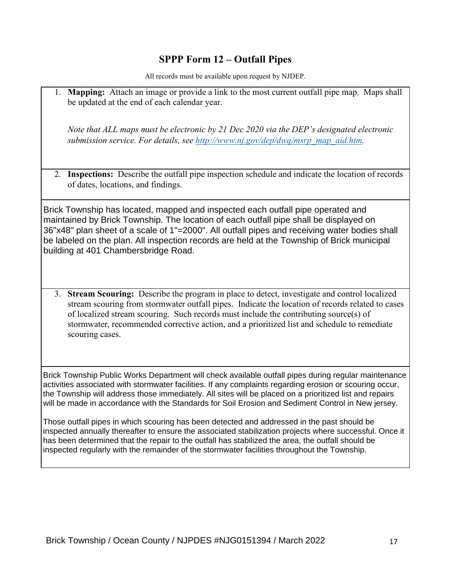#### **SPPP Form 12 – Outfall Pipes**

All records must be available upon request by NJDEP.

1. **Mapping:** Attach an image or provide a link to the most current outfall pipe map. Maps shall be updated at the end of each calendar year.

*Note that ALL maps must be electronic by 21 Dec 2020 via the DEP's designated electronic submission service. For details, see [http://www.nj.gov/dep/dwq/msrp\\_map\\_aid.htm.](http://www.nj.gov/dep/dwq/msrp_map_aid.htm)*

2. **Inspections:** Describe the outfall pipe inspection schedule and indicate the location of records of dates, locations, and findings.

Brick Township has located, mapped and inspected each outfall pipe operated and maintained by Brick Township. The location of each outfall pipe shall be displayed on 36"x48" plan sheet of a scale of 1"=2000". All outfall pipes and receiving water bodies shall be labeled on the plan. All inspection records are held at the Township of Brick municipal building at 401 Chambersbridge Road.

3. **Stream Scouring:** Describe the program in place to detect, investigate and control localized stream scouring from stormwater outfall pipes. Indicate the location of records related to cases of localized stream scouring. Such records must include the contributing source(s) of stormwater, recommended corrective action, and a prioritized list and schedule to remediate scouring cases.

Brick Township Public Works Department will check available outfall pipes during regular maintenance activities associated with stormwater facilities. If any complaints regarding erosion or scouring occur, the Township will address those immediately. All sites will be placed on a prioritized list and repairs will be made in accordance with the Standards for Soil Erosion and Sediment Control in New jersey.

Those outfall pipes in which scouring has been detected and addressed in the past should be inspected annually thereafter to ensure the associated stabilization projects where successful. Once it has been determined that the repair to the outfall has stabilized the area, the outfall should be inspected regularly with the remainder of the stormwater facilities throughout the Township.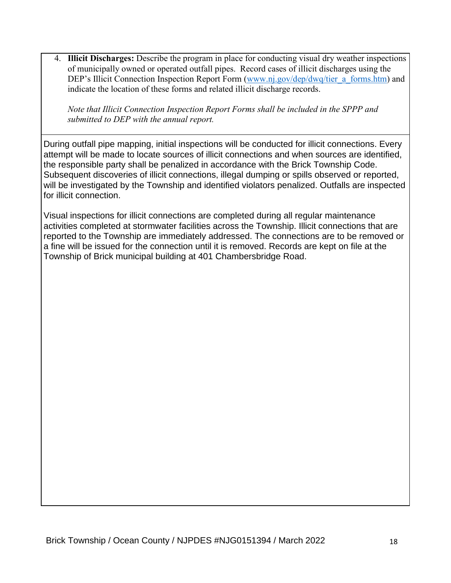4. **Illicit Discharges:** Describe the program in place for conducting visual dry weather inspections of municipally owned or operated outfall pipes. Record cases of illicit discharges using the DEP's Illicit Connection Inspection Report Form [\(www.nj.gov/dep/dwq/tier\\_a\\_forms.htm\)](http://www.nj.gov/dep/dwq/tier_a_forms.htm) and indicate the location of these forms and related illicit discharge records.

*Note that Illicit Connection Inspection Report Forms shall be included in the SPPP and submitted to DEP with the annual report.*

During outfall pipe mapping, initial inspections will be conducted for illicit connections. Every attempt will be made to locate sources of illicit connections and when sources are identified, the responsible party shall be penalized in accordance with the Brick Township Code. Subsequent discoveries of illicit connections, illegal dumping or spills observed or reported, will be investigated by the Township and identified violators penalized. Outfalls are inspected for illicit connection.

Visual inspections for illicit connections are completed during all regular maintenance activities completed at stormwater facilities across the Township. Illicit connections that are reported to the Township are immediately addressed. The connections are to be removed or a fine will be issued for the connection until it is removed. Records are kept on file at the Township of Brick municipal building at 401 Chambersbridge Road.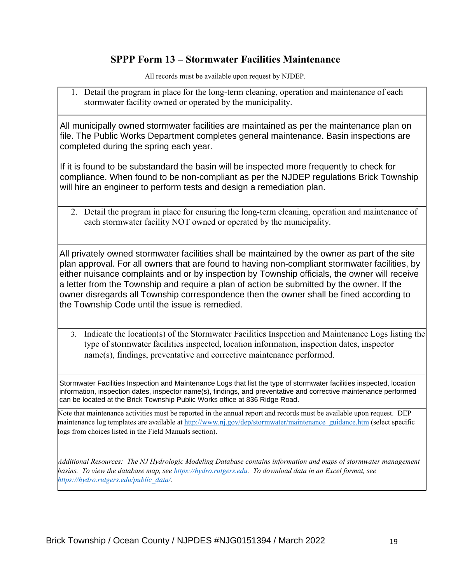#### **SPPP Form 13 – Stormwater Facilities Maintenance**

All records must be available upon request by NJDEP.

1. Detail the program in place for the long-term cleaning, operation and maintenance of each stormwater facility owned or operated by the municipality.

All municipally owned stormwater facilities are maintained as per the maintenance plan on file. The Public Works Department completes general maintenance. Basin inspections are completed during the spring each year.

If it is found to be substandard the basin will be inspected more frequently to check for compliance. When found to be non-compliant as per the NJDEP regulations Brick Township will hire an engineer to perform tests and design a remediation plan.

2. Detail the program in place for ensuring the long-term cleaning, operation and maintenance of each stormwater facility NOT owned or operated by the municipality.

All privately owned stormwater facilities shall be maintained by the owner as part of the site plan approval. For all owners that are found to having non-compliant stormwater facilities, by either nuisance complaints and or by inspection by Township officials, the owner will receive a letter from the Township and require a plan of action be submitted by the owner. If the owner disregards all Township correspondence then the owner shall be fined according to the Township Code until the issue is remedied.

3. Indicate the location(s) of the Stormwater Facilities Inspection and Maintenance Logs listing the type of stormwater facilities inspected, location information, inspection dates, inspector name(s), findings, preventative and corrective maintenance performed.

Stormwater Facilities Inspection and Maintenance Logs that list the type of stormwater facilities inspected, location information, inspection dates, inspector name(s), findings, and preventative and corrective maintenance performed can be located at the Brick Township Public Works office at 836 Ridge Road.

Note that maintenance activities must be reported in the annual report and records must be available upon request. DEP maintenance log templates are available at [http://www.nj.gov/dep/stormwater/maintenance\\_guidance.htm](http://www.nj.gov/dep/stormwater/maintenance_guidance.htm) (select specific logs from choices listed in the Field Manuals section).

*Additional Resources: The NJ Hydrologic Modeling Database contains information and maps of stormwater management basins. To view the database map, see [https://hydro.rutgers.edu.](https://hydro.rutgers.edu/) To download data in an Excel format, see [https://hydro.rutgers.edu/public\\_data/.](https://hydro.rutgers.edu/public_data/)*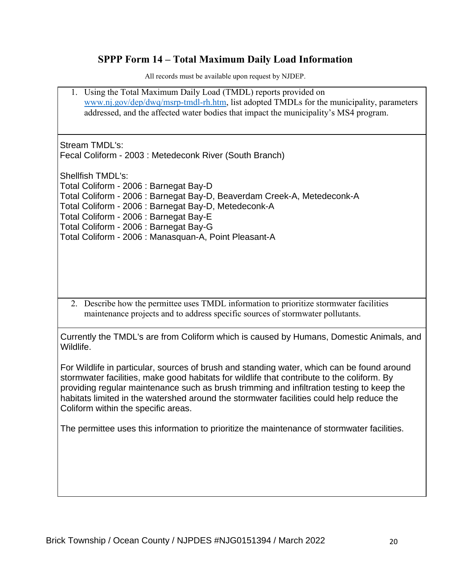# **SPPP Form 14 – Total Maximum Daily Load Information**

| 1. Using the Total Maximum Daily Load (TMDL) reports provided on<br>www.nj.gov/dep/dwq/msrp-tmdl-rh.htm, list adopted TMDLs for the municipality, parameters<br>addressed, and the affected water bodies that impact the municipality's MS4 program.                                                                                                                                                                     |
|--------------------------------------------------------------------------------------------------------------------------------------------------------------------------------------------------------------------------------------------------------------------------------------------------------------------------------------------------------------------------------------------------------------------------|
| Stream TMDL's:<br>Fecal Coliform - 2003 : Metedeconk River (South Branch)                                                                                                                                                                                                                                                                                                                                                |
| <b>Shellfish TMDL's:</b><br>Total Coliform - 2006 : Barnegat Bay-D<br>Total Coliform - 2006 : Barnegat Bay-D, Beaverdam Creek-A, Metedeconk-A<br>Total Coliform - 2006 : Barnegat Bay-D, Metedeconk-A<br>Total Coliform - 2006 : Barnegat Bay-E<br>Total Coliform - 2006 : Barnegat Bay-G<br>Total Coliform - 2006 : Manasquan-A, Point Pleasant-A                                                                       |
| 2. Describe how the permittee uses TMDL information to prioritize stormwater facilities<br>maintenance projects and to address specific sources of stormwater pollutants.                                                                                                                                                                                                                                                |
| Currently the TMDL's are from Coliform which is caused by Humans, Domestic Animals, and<br>Wildlife.                                                                                                                                                                                                                                                                                                                     |
| For Wildlife in particular, sources of brush and standing water, which can be found around<br>stormwater facilities, make good habitats for wildlife that contribute to the coliform. By<br>providing regular maintenance such as brush trimming and infiltration testing to keep the<br>habitats limited in the watershed around the stormwater facilities could help reduce the<br>Coliform within the specific areas. |
| The permittee uses this information to prioritize the maintenance of stormwater facilities.                                                                                                                                                                                                                                                                                                                              |
|                                                                                                                                                                                                                                                                                                                                                                                                                          |
|                                                                                                                                                                                                                                                                                                                                                                                                                          |